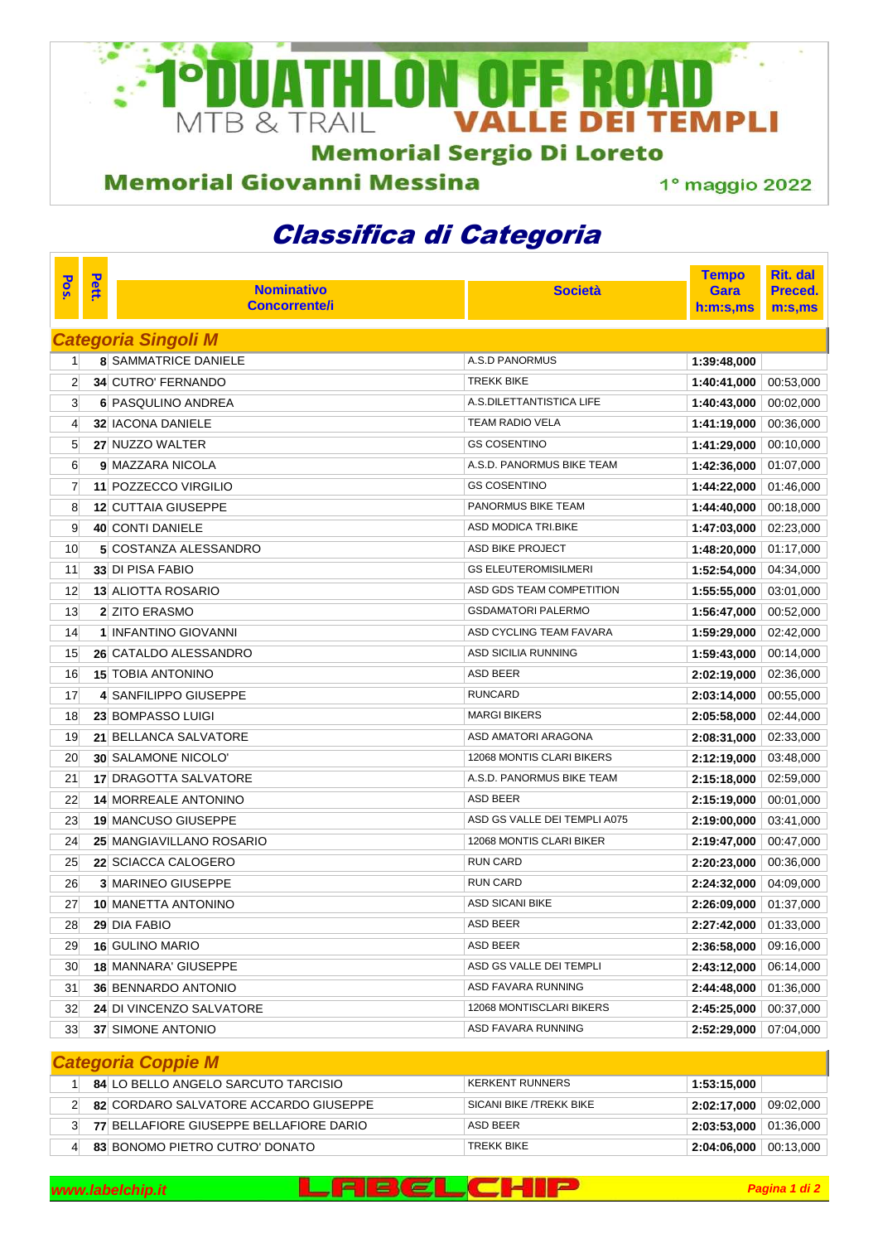

**Memorial Sergio Di Loreto** 

## **Memorial Giovanni Messina**

1° maggio 2022

## Classifica di Categoria

|                            |       |                              |                              | <b>Tempo</b> | <b>Rit. dal</b> |  |  |  |  |  |
|----------------------------|-------|------------------------------|------------------------------|--------------|-----------------|--|--|--|--|--|
| Pos.                       | Pett. | <b>Nominativo</b>            | <b>Società</b>               | Gara         | Preced.         |  |  |  |  |  |
|                            |       | <b>Concorrente/i</b>         |                              | h:m:s,ms     | m:s, ms         |  |  |  |  |  |
| <b>Categoria Singoli M</b> |       |                              |                              |              |                 |  |  |  |  |  |
| 11                         |       | <b>8 SAMMATRICE DANIELE</b>  | <b>A.S.D PANORMUS</b>        | 1:39:48,000  |                 |  |  |  |  |  |
| $\overline{2}$             |       | <b>34 CUTRO' FERNANDO</b>    | <b>TREKK BIKE</b>            | 1:40:41,000  | 00:53,000       |  |  |  |  |  |
| 3                          |       | <b>6 PASQULINO ANDREA</b>    | A.S.DILETTANTISTICA LIFE     | 1:40:43,000  | 00:02,000       |  |  |  |  |  |
| 4                          |       | <b>32 IACONA DANIELE</b>     | <b>TEAM RADIO VELA</b>       | 1:41:19,000  | 00:36,000       |  |  |  |  |  |
| 5                          |       | 27 NUZZO WALTER              | <b>GS COSENTINO</b>          | 1:41:29,000  | 00:10,000       |  |  |  |  |  |
| 6                          |       | 9 MAZZARA NICOLA             | A.S.D. PANORMUS BIKE TEAM    | 1:42:36,000  | 01:07,000       |  |  |  |  |  |
| 7                          |       | 11 POZZECCO VIRGILIO         | <b>GS COSENTINO</b>          | 1:44:22,000  | 01:46,000       |  |  |  |  |  |
| 8                          |       | <b>12 CUTTAIA GIUSEPPE</b>   | <b>PANORMUS BIKE TEAM</b>    | 1:44:40,000  | 00:18,000       |  |  |  |  |  |
| 9                          |       | <b>40 CONTI DANIELE</b>      | ASD MODICA TRI.BIKE          | 1:47:03,000  | 02:23,000       |  |  |  |  |  |
| 10                         |       | 5 COSTANZA ALESSANDRO        | ASD BIKE PROJECT             | 1:48:20,000  | 01:17,000       |  |  |  |  |  |
| 11                         |       | <b>33 DI PISA FABIO</b>      | <b>GS ELEUTEROMISILMERI</b>  | 1:52:54,000  | 04:34,000       |  |  |  |  |  |
| 12                         |       | <b>13 ALIOTTA ROSARIO</b>    | ASD GDS TEAM COMPETITION     | 1:55:55,000  | 03:01,000       |  |  |  |  |  |
| 13                         |       | <b>2 ZITO ERASMO</b>         | <b>GSDAMATORI PALERMO</b>    | 1:56:47,000  | 00:52,000       |  |  |  |  |  |
| 14                         |       | 1 INFANTINO GIOVANNI         | ASD CYCLING TEAM FAVARA      | 1:59:29,000  | 02:42,000       |  |  |  |  |  |
| 15                         |       | 26 CATALDO ALESSANDRO        | ASD SICILIA RUNNING          | 1:59:43,000  | 00:14,000       |  |  |  |  |  |
| 16                         |       | <b>15 TOBIA ANTONINO</b>     | ASD BEER                     | 2:02:19,000  | 02:36,000       |  |  |  |  |  |
| 17                         |       | 4 SANFILIPPO GIUSEPPE        | <b>RUNCARD</b>               | 2:03:14,000  | 00:55,000       |  |  |  |  |  |
| 18                         |       | <b>23 BOMPASSO LUIGI</b>     | <b>MARGI BIKERS</b>          | 2:05:58,000  | 02:44,000       |  |  |  |  |  |
| 19                         |       | 21 BELLANCA SALVATORE        | ASD AMATORI ARAGONA          | 2:08:31,000  | 02:33,000       |  |  |  |  |  |
| 20                         |       | <b>30 SALAMONE NICOLO'</b>   | 12068 MONTIS CLARI BIKERS    | 2:12:19,000  | 03:48,000       |  |  |  |  |  |
| 21                         |       | <b>17 DRAGOTTA SALVATORE</b> | A.S.D. PANORMUS BIKE TEAM    | 2:15:18,000  | 02:59,000       |  |  |  |  |  |
| 22                         |       | <b>14 MORREALE ANTONINO</b>  | ASD BEER                     | 2:15:19,000  | 00:01,000       |  |  |  |  |  |
| 23                         |       | <b>19 MANCUSO GIUSEPPE</b>   | ASD GS VALLE DEI TEMPLI A075 | 2:19:00,000  | 03:41,000       |  |  |  |  |  |
| 24                         |       | 25 MANGIAVILLANO ROSARIO     | 12068 MONTIS CLARI BIKER     | 2:19:47,000  | 00:47,000       |  |  |  |  |  |
| 25                         |       | 22 SCIACCA CALOGERO          | <b>RUN CARD</b>              | 2:20:23,000  | 00:36,000       |  |  |  |  |  |
| 26                         |       | <b>3 MARINEO GIUSEPPE</b>    | <b>RUN CARD</b>              | 2:24:32,000  | 04:09,000       |  |  |  |  |  |
| 27                         |       | <b>10 MANETTA ANTONINO</b>   | <b>ASD SICANI BIKE</b>       | 2:26:09,000  | 01:37,000       |  |  |  |  |  |
| 28                         |       | 29 DIA FABIO                 | ASD BEER                     | 2:27:42,000  | 01:33,000       |  |  |  |  |  |
| 29                         |       | <b>16 GULINO MARIO</b>       | ASD BEER                     | 2:36:58,000  | 09:16,000       |  |  |  |  |  |
| 30                         |       | <b>18 MANNARA' GIUSEPPE</b>  | ASD GS VALLE DEI TEMPLI      | 2:43:12,000  | 06:14,000       |  |  |  |  |  |
| 31                         |       | <b>36 BENNARDO ANTONIO</b>   | ASD FAVARA RUNNING           | 2:44:48,000  | 01:36,000       |  |  |  |  |  |
| 32                         |       | 24 DI VINCENZO SALVATORE     | 12068 MONTISCLARI BIKERS     | 2:45:25,000  | 00:37,000       |  |  |  |  |  |
| 33                         |       | <b>37 SIMONE ANTONIO</b>     | ASD FAVARA RUNNING           | 2:52:29,000  | 07:04,000       |  |  |  |  |  |
| <b>Categoria Coppie M</b>  |       |                              |                              |              |                 |  |  |  |  |  |

|  | 84 LO BELLO ANGELO SARCUTO TARCISIO     | <b>KERKENT RUNNERS</b>  | 1:53:15.000                         |  |  |  |  |  |  |
|--|-----------------------------------------|-------------------------|-------------------------------------|--|--|--|--|--|--|
|  | 82 CORDARO SALVATORE ACCARDO GIUSEPPE   | SICANI BIKE /TREKK BIKE | $2:02:17,000$ 09:02,000             |  |  |  |  |  |  |
|  | 77 BELLAFIORE GIUSEPPE BELLAFIORE DARIO | ASD BEER                | $2:03:53,000$ 01:36,000             |  |  |  |  |  |  |
|  | 83 BONOMO PIETRO CUTRO' DONATO          | <b>TREKK BIKE</b>       | $\mid$ 2:04:06,000 $\mid$ 00:13,000 |  |  |  |  |  |  |